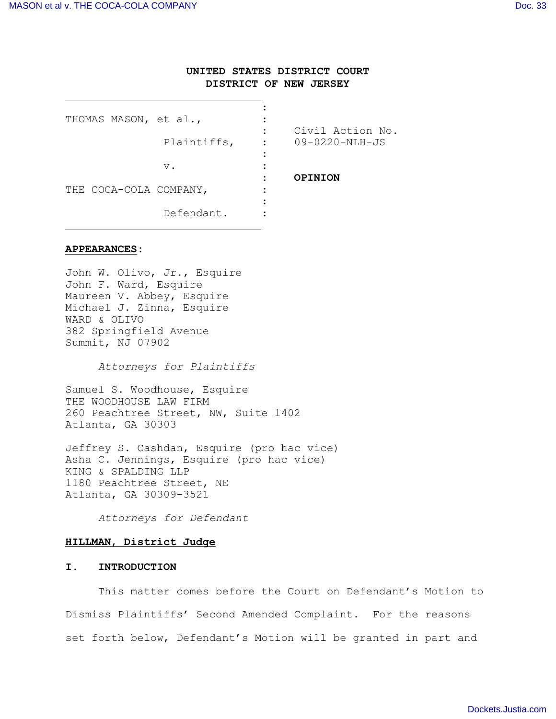# **UNITED STATES DISTRICT COURT DISTRICT OF NEW JERSEY**

| THOMAS MASON, et al.,  |             | Civil Action No.                     |
|------------------------|-------------|--------------------------------------|
|                        | Plaintiffs, | $09 - 0220 - \text{NLH} - \text{JS}$ |
|                        | $V$ .       | OPINION                              |
| THE COCA-COLA COMPANY, |             |                                      |
|                        | Defendant.  |                                      |

### **APPEARANCES:**

John W. Olivo, Jr., Esquire John F. Ward, Esquire Maureen V. Abbey, Esquire Michael J. Zinna, Esquire WARD & OLIVO 382 Springfield Avenue Summit, NJ 07902

*Attorneys for Plaintiffs*

Samuel S. Woodhouse, Esquire THE WOODHOUSE LAW FIRM 260 Peachtree Street, NW, Suite 1402 Atlanta, GA 30303

Jeffrey S. Cashdan, Esquire (pro hac vice) Asha C. Jennings, Esquire (pro hac vice) KING & SPALDING LLP 1180 Peachtree Street, NE Atlanta, GA 30309-3521

*Attorneys for Defendant*

#### **HILLMAN**, **District Judge**

### **I. INTRODUCTION**

This matter comes before the Court on Defendant's Motion to Dismiss Plaintiffs' Second Amended Complaint. For the reasons set forth below, Defendant's Motion will be granted in part and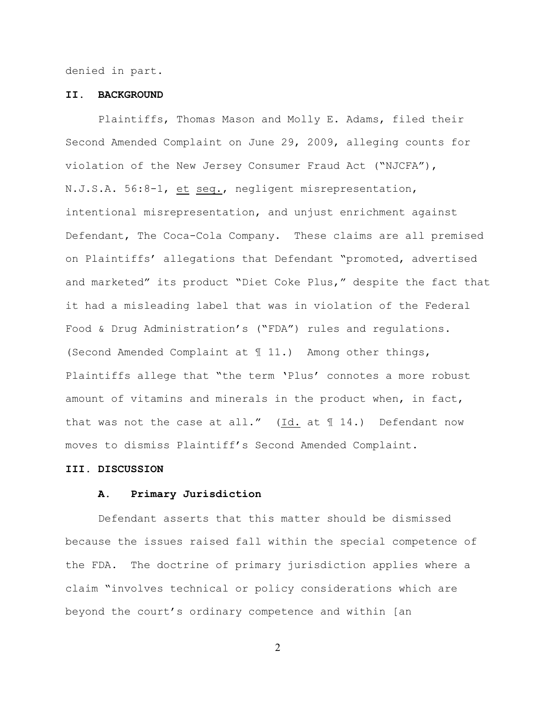denied in part.

### **II. BACKGROUND**

Plaintiffs, Thomas Mason and Molly E. Adams, filed their Second Amended Complaint on June 29, 2009, alleging counts for violation of the New Jersey Consumer Fraud Act ("NJCFA"), N.J.S.A. 56:8-1, et seq., negligent misrepresentation, intentional misrepresentation, and unjust enrichment against Defendant, The Coca-Cola Company. These claims are all premised on Plaintiffs' allegations that Defendant "promoted, advertised and marketed" its product "Diet Coke Plus," despite the fact that it had a misleading label that was in violation of the Federal Food & Drug Administration's ("FDA") rules and regulations. (Second Amended Complaint at ¶ 11.) Among other things, Plaintiffs allege that "the term 'Plus' connotes a more robust amount of vitamins and minerals in the product when, in fact, that was not the case at all."  $(\underline{Id.}]$  at  $\P$  14.) Defendant now moves to dismiss Plaintiff's Second Amended Complaint.

### **III. DISCUSSION**

### **A. Primary Jurisdiction**

Defendant asserts that this matter should be dismissed because the issues raised fall within the special competence of the FDA. The doctrine of primary jurisdiction applies where a claim "involves technical or policy considerations which are beyond the court's ordinary competence and within [an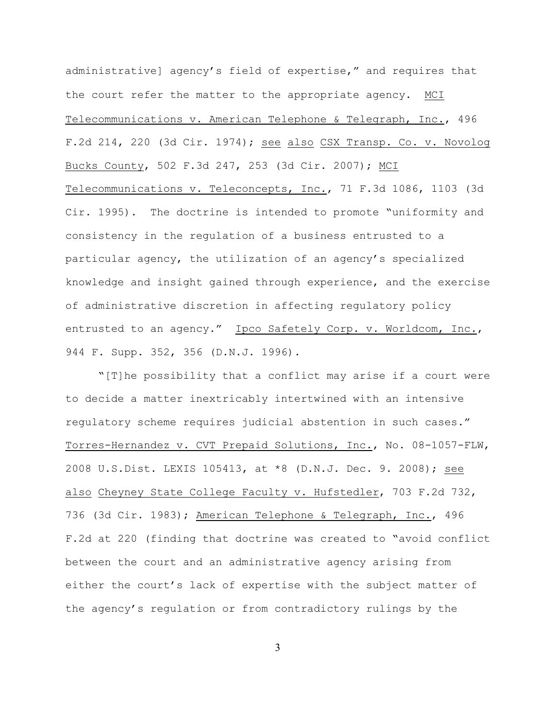administrative] agency's field of expertise," and requires that the court refer the matter to the appropriate agency.MCI Telecommunications v. American Telephone & Telegraph, Inc., 496 F.2d 214, 220 (3d Cir. 1974); see also CSX Transp. Co. v. Novolog Bucks County, 502 F.3d 247, 253 (3d Cir. 2007); MCI Telecommunications v. Teleconcepts, Inc., 71 F.3d 1086, 1103 (3d Cir. 1995). The doctrine is intended to promote "uniformity and consistency in the regulation of a business entrusted to a particular agency, the utilization of an agency's specialized knowledge and insight gained through experience, and the exercise of administrative discretion in affecting regulatory policy entrusted to an agency." Ipco Safetely Corp. v. Worldcom, Inc., 944 F. Supp. 352, 356 (D.N.J. 1996).

"[T]he possibility that a conflict may arise if a court were to decide a matter inextricably intertwined with an intensive regulatory scheme requires judicial abstention in such cases." Torres-Hernandez v. CVT Prepaid Solutions, Inc., No. 08-1057-FLW, 2008 U.S.Dist. LEXIS 105413, at \*8 (D.N.J. Dec. 9. 2008); see also Cheyney State College Faculty v. Hufstedler, 703 F.2d 732, 736 (3d Cir. 1983); American Telephone & Telegraph, Inc., 496 F.2d at 220 (finding that doctrine was created to "avoid conflict between the court and an administrative agency arising from either the court's lack of expertise with the subject matter of the agency's regulation or from contradictory rulings by the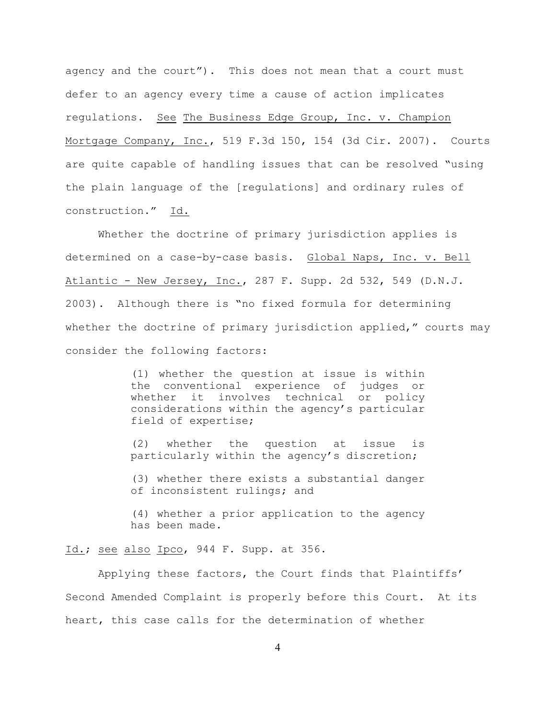agency and the court"). This does not mean that a court must defer to an agency every time a cause of action implicates regulations. See The Business Edge Group, Inc. v. Champion Mortgage Company, Inc., 519 F.3d 150, 154 (3d Cir. 2007). Courts are quite capable of handling issues that can be resolved "using the plain language of the [regulations] and ordinary rules of construction." Id.

Whether the doctrine of primary jurisdiction applies is determined on a case-by-case basis. Global Naps, Inc. v. Bell Atlantic - New Jersey, Inc., 287 F. Supp. 2d 532, 549 (D.N.J. 2003). Although there is "no fixed formula for determining whether the doctrine of primary jurisdiction applied," courts may consider the following factors:

> (1) whether the question at issue is within the conventional experience of judges or whether it involves technical or policy considerations within the agency's particular field of expertise;

> (2) whether the question at issue is particularly within the agency's discretion;

> (3) whether there exists a substantial danger of inconsistent rulings; and

> (4) whether a prior application to the agency has been made.

Id.; see also Ipco, 944 F. Supp. at 356.

Applying these factors, the Court finds that Plaintiffs' Second Amended Complaint is properly before this Court. At its heart, this case calls for the determination of whether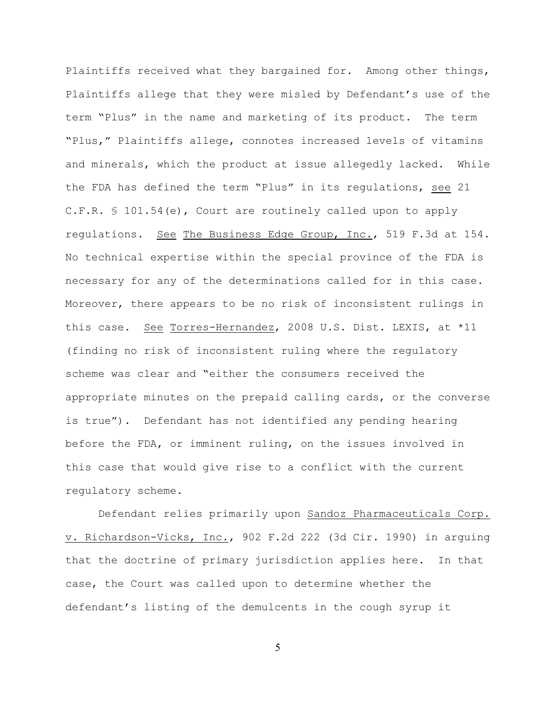Plaintiffs received what they bargained for. Among other things, Plaintiffs allege that they were misled by Defendant's use of the term "Plus" in the name and marketing of its product. The term "Plus," Plaintiffs allege, connotes increased levels of vitamins and minerals, which the product at issue allegedly lacked. While the FDA has defined the term "Plus" in its regulations, see 21 C.F.R. § 101.54(e), Court are routinely called upon to apply regulations. See The Business Edge Group, Inc., 519 F.3d at 154. No technical expertise within the special province of the FDA is necessary for any of the determinations called for in this case. Moreover, there appears to be no risk of inconsistent rulings in this case. See Torres-Hernandez, 2008 U.S. Dist. LEXIS, at \*11 (finding no risk of inconsistent ruling where the regulatory scheme was clear and "either the consumers received the appropriate minutes on the prepaid calling cards, or the converse is true"). Defendant has not identified any pending hearing before the FDA, or imminent ruling, on the issues involved in this case that would give rise to a conflict with the current regulatory scheme.

Defendant relies primarily upon Sandoz Pharmaceuticals Corp. v. Richardson-Vicks, Inc., 902 F.2d 222 (3d Cir. 1990) in arguing that the doctrine of primary jurisdiction applies here. In that case, the Court was called upon to determine whether the defendant's listing of the demulcents in the cough syrup it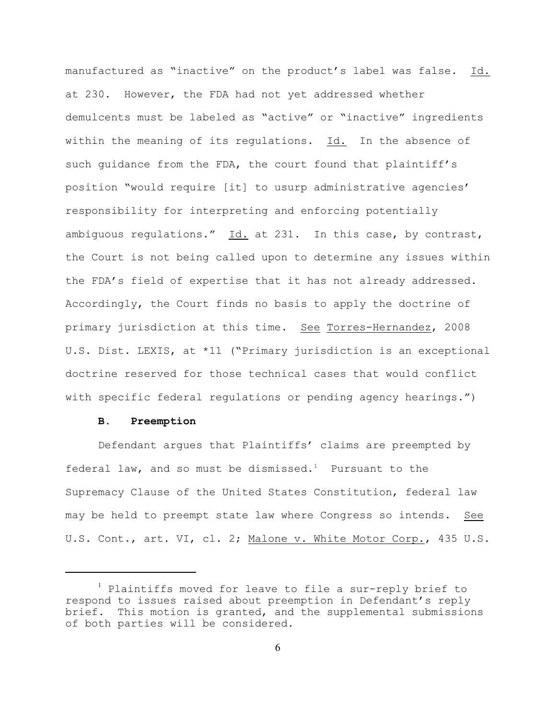manufactured as "inactive" on the product's label was false. Id. at 230. However, the FDA had not yet addressed whether demulcents must be labeled as "active" or "inactive" ingredients within the meaning of its regulations. Id. In the absence of such guidance from the FDA, the court found that plaintiff's position "would require [it] to usurp administrative agencies' responsibility for interpreting and enforcing potentially ambiguous regulations." Id. at 231. In this case, by contrast, the Court is not being called upon to determine any issues within the FDA's field of expertise that it has not already addressed. Accordingly, the Court finds no basis to apply the doctrine of primary jurisdiction at this time. See Torres-Hernandez, 2008 U.S. Dist. LEXIS, at \*11 ("Primary jurisdiction is an exceptional doctrine reserved for those technical cases that would conflict with specific federal regulations or pending agency hearings.")

#### **B. Preemption**

Defendant argues that Plaintiffs' claims are preempted by federal law, and so must be dismissed.<sup>1</sup> Pursuant to the Supremacy Clause of the United States Constitution, federal law may be held to preempt state law where Congress so intends. See U.S. Cont., art. VI, cl. 2; Malone v. White Motor Corp., 435 U.S.

 $<sup>1</sup>$  Plaintiffs moved for leave to file a sur-reply brief to</sup> respond to issues raised about preemption in Defendant's reply brief. This motion is granted, and the supplemental submissions of both parties will be considered.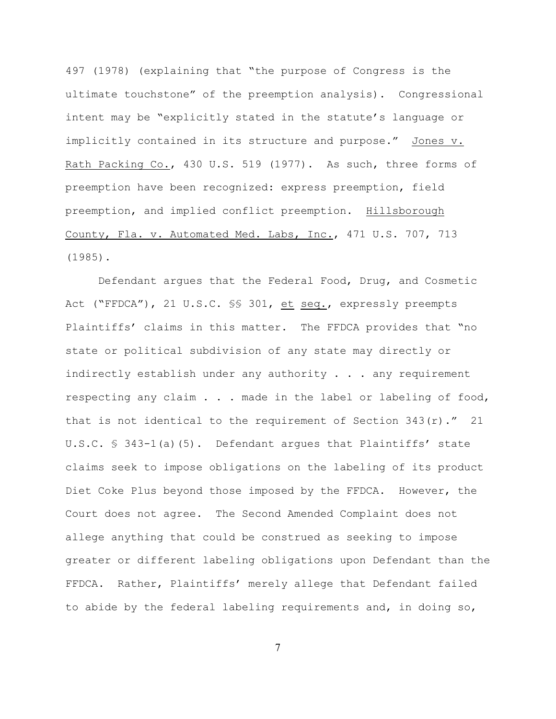497 (1978) (explaining that "the purpose of Congress is the ultimate touchstone" of the preemption analysis). Congressional intent may be "explicitly stated in the statute's language or implicitly contained in its structure and purpose." Jones v. Rath Packing Co., 430 U.S. 519 (1977). As such, three forms of preemption have been recognized: express preemption, field preemption, and implied conflict preemption. Hillsborough County, Fla. v. Automated Med. Labs, Inc., 471 U.S. 707, 713 (1985).

Defendant argues that the Federal Food, Drug, and Cosmetic Act ("FFDCA"), 21 U.S.C. SS 301, et seq., expressly preempts Plaintiffs' claims in this matter. The FFDCA provides that "no state or political subdivision of any state may directly or indirectly establish under any authority . . . any requirement respecting any claim . . . made in the label or labeling of food, that is not identical to the requirement of Section  $343(r)$ ." 21 U.S.C. § 343-1(a)(5). Defendant argues that Plaintiffs' state claims seek to impose obligations on the labeling of its product Diet Coke Plus beyond those imposed by the FFDCA. However, the Court does not agree. The Second Amended Complaint does not allege anything that could be construed as seeking to impose greater or different labeling obligations upon Defendant than the FFDCA. Rather, Plaintiffs' merely allege that Defendant failed to abide by the federal labeling requirements and, in doing so,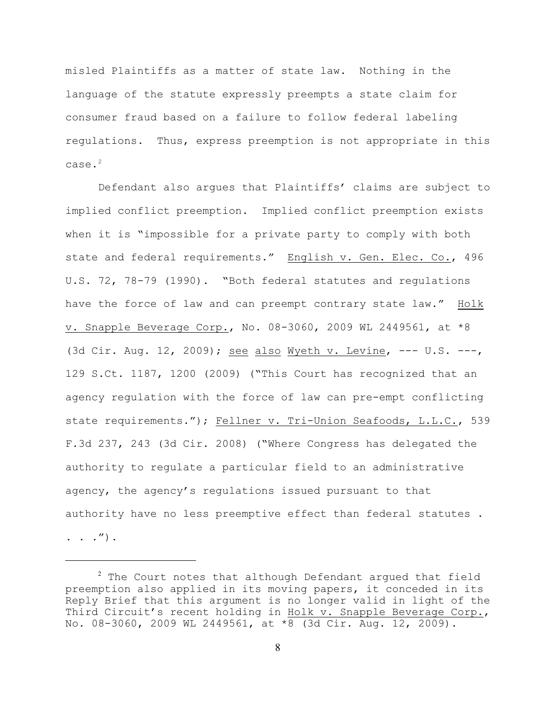misled Plaintiffs as a matter of state law. Nothing in the language of the statute expressly preempts a state claim for consumer fraud based on a failure to follow federal labeling regulations. Thus, express preemption is not appropriate in this case.<sup>2</sup>

Defendant also argues that Plaintiffs' claims are subject to implied conflict preemption. Implied conflict preemption exists when it is "impossible for a private party to comply with both state and federal requirements." English v. Gen. Elec. Co., 496 U.S. 72, 78-79 (1990). "Both federal statutes and regulations have the force of law and can preempt contrary state law." Holk v. Snapple Beverage Corp., No. 08-3060, 2009 WL 2449561, at \*8 (3d Cir. Aug. 12, 2009); see also Wyeth v. Levine, --- U.S. ---, 129 S.Ct. 1187, 1200 (2009) ("This Court has recognized that an agency regulation with the force of law can pre-empt conflicting state requirements."); Fellner v. Tri-Union Seafoods, L.L.C., 539 F.3d 237, 243 (3d Cir. 2008) ("Where Congress has delegated the authority to regulate a particular field to an administrative agency, the agency's regulations issued pursuant to that authority have no less preemptive effect than federal statutes .

. . .").

 $2$  The Court notes that although Defendant argued that field preemption also applied in its moving papers, it conceded in its Reply Brief that this argument is no longer valid in light of the Third Circuit's recent holding in Holk v. Snapple Beverage Corp., No. 08-3060, 2009 WL 2449561, at \*8 (3d Cir. Aug. 12, 2009).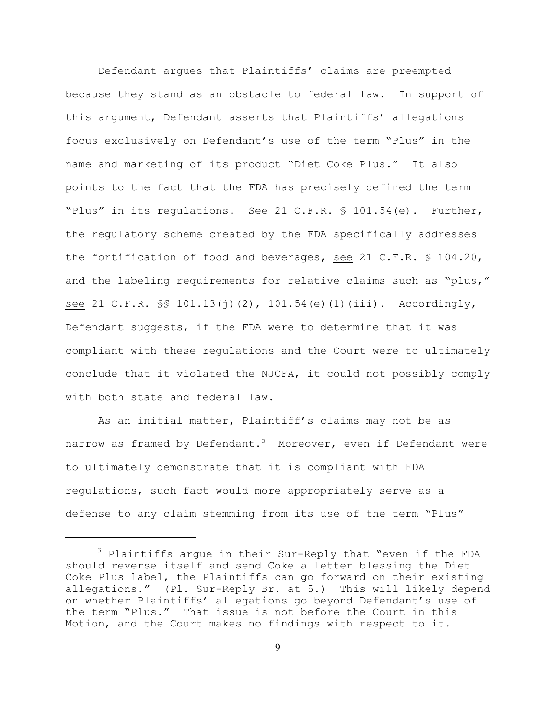Defendant argues that Plaintiffs' claims are preempted because they stand as an obstacle to federal law. In support of this argument, Defendant asserts that Plaintiffs' allegations focus exclusively on Defendant's use of the term "Plus" in the name and marketing of its product "Diet Coke Plus." It also points to the fact that the FDA has precisely defined the term "Plus" in its regulations. See 21 C.F.R. § 101.54(e). Further, the regulatory scheme created by the FDA specifically addresses the fortification of food and beverages, see 21 C.F.R. § 104.20, and the labeling requirements for relative claims such as "plus," see 21 C.F.R. \$\$ 101.13(j)(2), 101.54(e)(1)(iii). Accordingly, Defendant suggests, if the FDA were to determine that it was compliant with these regulations and the Court were to ultimately conclude that it violated the NJCFA, it could not possibly comply with both state and federal law.

As an initial matter, Plaintiff's claims may not be as narrow as framed by Defendant.<sup>3</sup> Moreover, even if Defendant were to ultimately demonstrate that it is compliant with FDA regulations, such fact would more appropriately serve as a defense to any claim stemming from its use of the term "Plus"

 $3$  Plaintiffs argue in their Sur-Reply that "even if the FDA should reverse itself and send Coke a letter blessing the Diet Coke Plus label, the Plaintiffs can go forward on their existing allegations." (Pl. Sur-Reply Br. at 5.) This will likely depend on whether Plaintiffs' allegations go beyond Defendant's use of the term "Plus." That issue is not before the Court in this Motion, and the Court makes no findings with respect to it.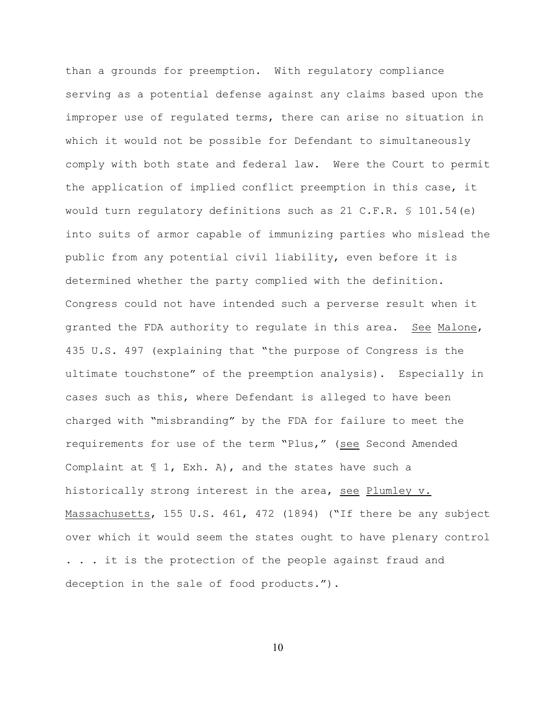than a grounds for preemption. With regulatory compliance serving as a potential defense against any claims based upon the improper use of regulated terms, there can arise no situation in which it would not be possible for Defendant to simultaneously comply with both state and federal law. Were the Court to permit the application of implied conflict preemption in this case, it would turn regulatory definitions such as 21 C.F.R.  $\frac{1}{5}$  101.54(e) into suits of armor capable of immunizing parties who mislead the public from any potential civil liability, even before it is determined whether the party complied with the definition. Congress could not have intended such a perverse result when it granted the FDA authority to regulate in this area. See Malone, 435 U.S. 497 (explaining that "the purpose of Congress is the ultimate touchstone" of the preemption analysis). Especially in cases such as this, where Defendant is alleged to have been charged with "misbranding" by the FDA for failure to meet the requirements for use of the term "Plus," (see Second Amended Complaint at  $\mathbb{I}$  1, Exh. A), and the states have such a historically strong interest in the area, see Plumley v. Massachusetts, 155 U.S. 461, 472 (1894) ("If there be any subject over which it would seem the states ought to have plenary control . . . it is the protection of the people against fraud and deception in the sale of food products.").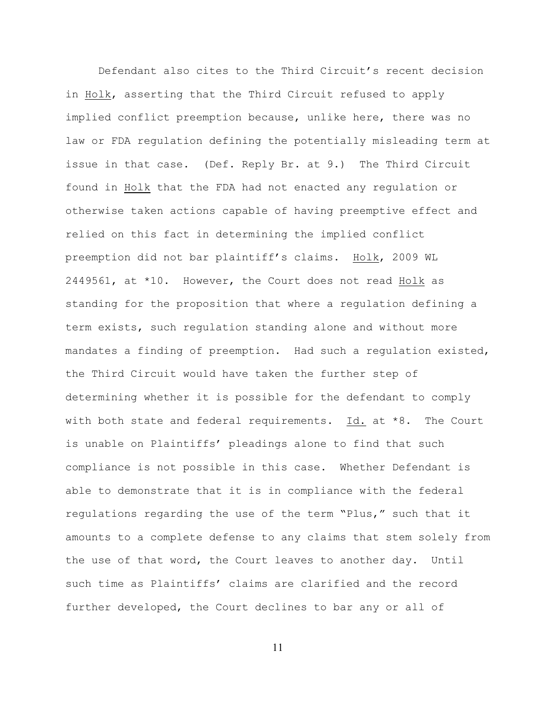Defendant also cites to the Third Circuit's recent decision in Holk, asserting that the Third Circuit refused to apply implied conflict preemption because, unlike here, there was no law or FDA regulation defining the potentially misleading term at issue in that case. (Def. Reply Br. at 9.) The Third Circuit found in Holk that the FDA had not enacted any regulation or otherwise taken actions capable of having preemptive effect and relied on this fact in determining the implied conflict preemption did not bar plaintiff's claims. Holk, 2009 WL 2449561, at \*10. However, the Court does not read Holk as standing for the proposition that where a regulation defining a term exists, such regulation standing alone and without more mandates a finding of preemption. Had such a regulation existed, the Third Circuit would have taken the further step of determining whether it is possible for the defendant to comply with both state and federal requirements. Id. at \*8. The Court is unable on Plaintiffs' pleadings alone to find that such compliance is not possible in this case. Whether Defendant is able to demonstrate that it is in compliance with the federal regulations regarding the use of the term "Plus," such that it amounts to a complete defense to any claims that stem solely from the use of that word, the Court leaves to another day. Until such time as Plaintiffs' claims are clarified and the record further developed, the Court declines to bar any or all of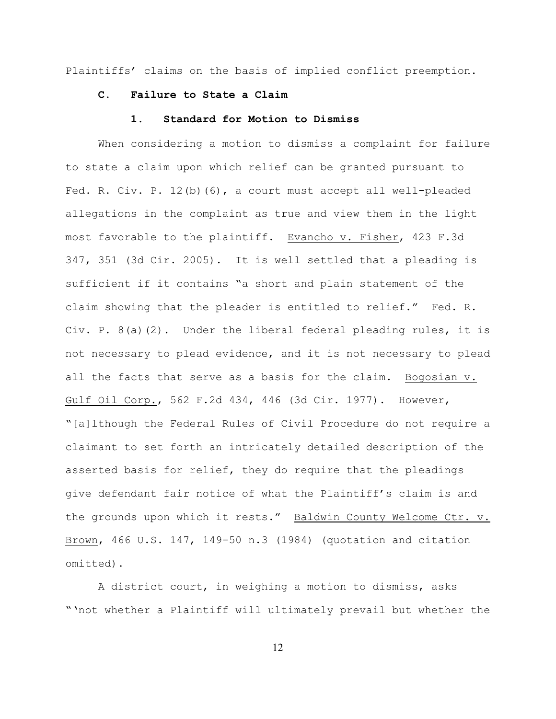Plaintiffs' claims on the basis of implied conflict preemption.

# **C. Failure to State a Claim**

## **1. Standard for Motion to Dismiss**

When considering a motion to dismiss a complaint for failure to state a claim upon which relief can be granted pursuant to Fed. R. Civ. P. 12(b)(6), a court must accept all well-pleaded allegations in the complaint as true and view them in the light most favorable to the plaintiff. Evancho v. Fisher, 423 F.3d 347, 351 (3d Cir. 2005). It is well settled that a pleading is sufficient if it contains "a short and plain statement of the claim showing that the pleader is entitled to relief." Fed. R. Civ. P.  $8(a)(2)$ . Under the liberal federal pleading rules, it is not necessary to plead evidence, and it is not necessary to plead all the facts that serve as a basis for the claim. Bogosian v. Gulf Oil Corp., 562 F.2d 434, 446 (3d Cir. 1977). However, "[a]lthough the Federal Rules of Civil Procedure do not require a claimant to set forth an intricately detailed description of the asserted basis for relief, they do require that the pleadings give defendant fair notice of what the Plaintiff's claim is and the grounds upon which it rests." Baldwin County Welcome Ctr. v. Brown, 466 U.S. 147, 149-50 n.3 (1984) (quotation and citation omitted).

A district court, in weighing a motion to dismiss, asks "'not whether a Plaintiff will ultimately prevail but whether the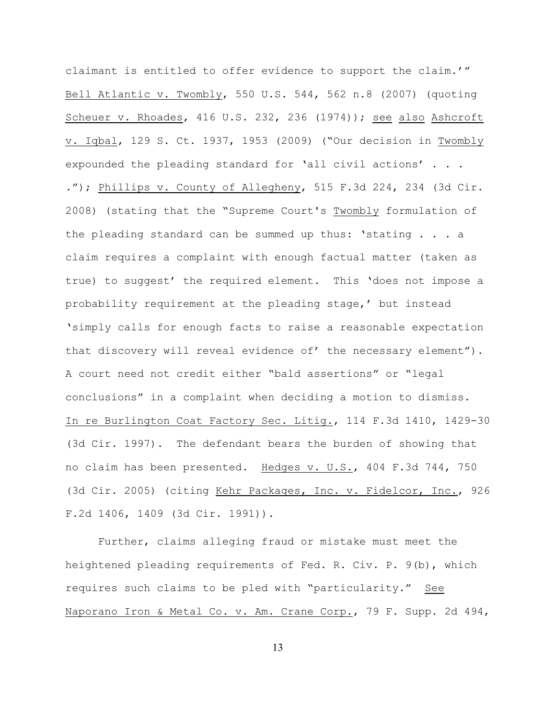claimant is entitled to offer evidence to support the claim.'" Bell Atlantic v. Twombly, 550 U.S. 544, 562 n.8 (2007) (quoting Scheuer v. Rhoades, 416 U.S. 232, 236 (1974)); see also Ashcroft v. Iqbal, 129 S. Ct. 1937, 1953 (2009) ("Our decision in Twombly expounded the pleading standard for 'all civil actions' . . . ."); Phillips v. County of Allegheny, 515 F.3d 224, 234 (3d Cir. 2008) (stating that the "Supreme Court's Twombly formulation of the pleading standard can be summed up thus: 'stating . . . a claim requires a complaint with enough factual matter (taken as true) to suggest' the required element. This 'does not impose a probability requirement at the pleading stage,' but instead 'simply calls for enough facts to raise a reasonable expectation that discovery will reveal evidence of' the necessary element"). A court need not credit either "bald assertions" or "legal conclusions" in a complaint when deciding a motion to dismiss. In re Burlington Coat Factory Sec. Litig., 114 F.3d 1410, 1429-30 (3d Cir. 1997). The defendant bears the burden of showing that no claim has been presented. Hedges v. U.S., 404 F.3d 744, 750 (3d Cir. 2005) (citing Kehr Packages, Inc. v. Fidelcor, Inc., 926 F.2d 1406, 1409 (3d Cir. 1991)).

Further, claims alleging fraud or mistake must meet the heightened pleading requirements of Fed. R. Civ. P. 9(b), which requires such claims to be pled with "particularity." See Naporano Iron & Metal Co. v. Am. Crane Corp., 79 F. Supp. 2d 494,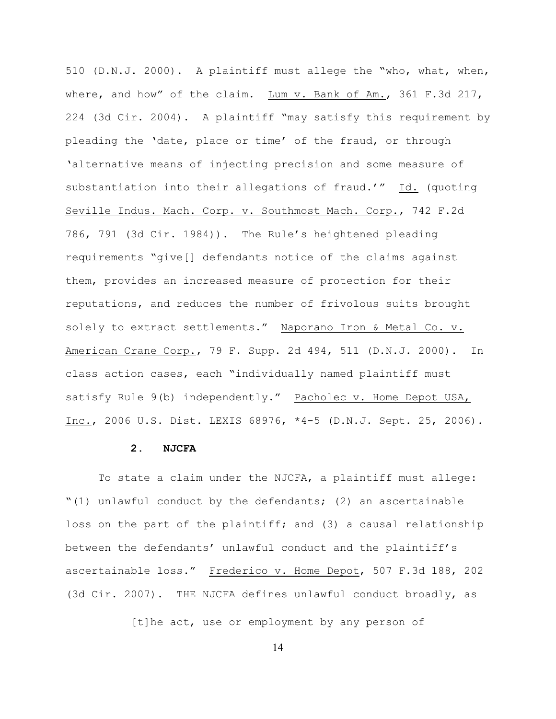510 (D.N.J. 2000). A plaintiff must allege the "who, what, when, where, and how" of the claim. Lum v. Bank of Am., 361 F.3d 217, 224 (3d Cir. 2004). A plaintiff "may satisfy this requirement by pleading the 'date, place or time' of the fraud, or through 'alternative means of injecting precision and some measure of substantiation into their allegations of fraud.'" Id. (quoting Seville Indus. Mach. Corp. v. Southmost Mach. Corp., 742 F.2d 786, 791 (3d Cir. 1984)). The Rule's heightened pleading requirements "give[] defendants notice of the claims against them, provides an increased measure of protection for their reputations, and reduces the number of frivolous suits brought solely to extract settlements." Naporano Iron & Metal Co. v. American Crane Corp., 79 F. Supp. 2d 494, 511 (D.N.J. 2000). In class action cases, each "individually named plaintiff must satisfy Rule 9(b) independently." Pacholec v. Home Depot USA, Inc., 2006 U.S. Dist. LEXIS 68976, \*4-5 (D.N.J. Sept. 25, 2006).

## **2. NJCFA**

To state a claim under the NJCFA, a plaintiff must allege: "(1) unlawful conduct by the defendants; (2) an ascertainable loss on the part of the plaintiff; and (3) a causal relationship between the defendants' unlawful conduct and the plaintiff's ascertainable loss." Frederico v. Home Depot, 507 F.3d 188, 202 (3d Cir. 2007). THE NJCFA defines unlawful conduct broadly, as

[t]he act, use or employment by any person of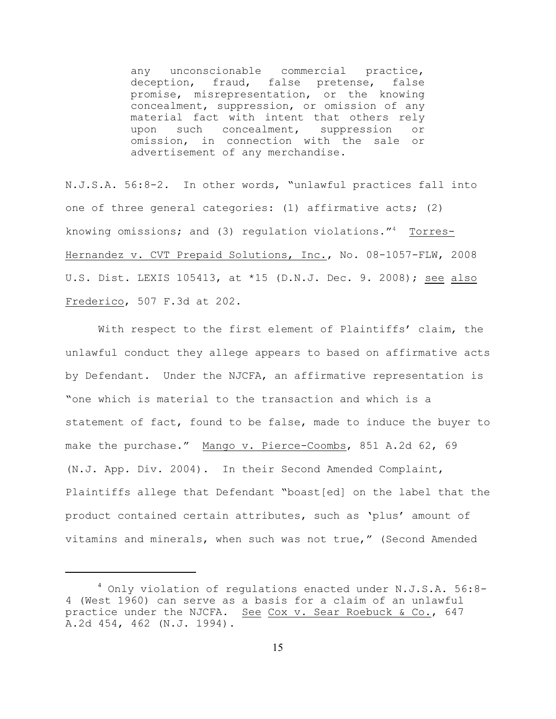any unconscionable commercial practice, deception, fraud, false pretense, false promise, misrepresentation, or the knowing concealment, suppression, or omission of any material fact with intent that others rely upon such concealment, suppression or omission, in connection with the sale or advertisement of any merchandise.

N.J.S.A. 56:8-2. In other words, "unlawful practices fall into one of three general categories: (1) affirmative acts; (2) knowing omissions; and (3) regulation violations. $14$  Torres-Hernandez v. CVT Prepaid Solutions, Inc., No. 08-1057-FLW, 2008 U.S. Dist. LEXIS 105413, at \*15 (D.N.J. Dec. 9. 2008); see also Frederico, 507 F.3d at 202.

With respect to the first element of Plaintiffs' claim, the unlawful conduct they allege appears to based on affirmative acts by Defendant. Under the NJCFA, an affirmative representation is "one which is material to the transaction and which is a statement of fact, found to be false, made to induce the buyer to make the purchase." Mango v. Pierce-Coombs, 851 A.2d 62, 69 (N.J. App. Div. 2004). In their Second Amended Complaint, Plaintiffs allege that Defendant "boast[ed] on the label that the product contained certain attributes, such as 'plus' amount of vitamins and minerals, when such was not true," (Second Amended

 $^4$  Only violation of regulations enacted under N.J.S.A. 56:8-4 (West 1960) can serve as a basis for a claim of an unlawful practice under the NJCFA. See Cox v. Sear Roebuck & Co., 647 A.2d 454, 462 (N.J. 1994).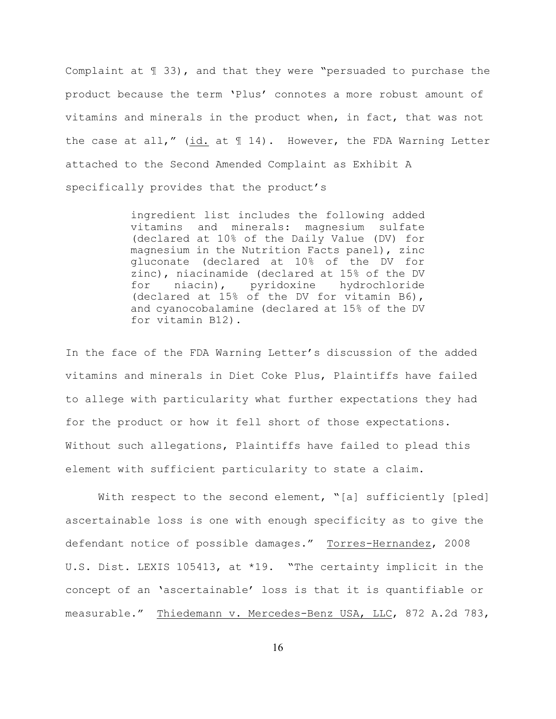Complaint at ¶ 33), and that they were "persuaded to purchase the product because the term 'Plus' connotes a more robust amount of vitamins and minerals in the product when, in fact, that was not the case at all," (id. at  $\mathbb{I}$  14). However, the FDA Warning Letter attached to the Second Amended Complaint as Exhibit A specifically provides that the product's

> ingredient list includes the following added vitamins and minerals: magnesium sulfate (declared at 10% of the Daily Value (DV) for magnesium in the Nutrition Facts panel), zinc gluconate (declared at 10% of the DV for zinc), niacinamide (declared at 15% of the DV for niacin), pyridoxine hydrochloride (declared at 15% of the DV for vitamin B6), and cyanocobalamine (declared at 15% of the DV for vitamin B12).

In the face of the FDA Warning Letter's discussion of the added vitamins and minerals in Diet Coke Plus, Plaintiffs have failed to allege with particularity what further expectations they had for the product or how it fell short of those expectations. Without such allegations, Plaintiffs have failed to plead this element with sufficient particularity to state a claim.

With respect to the second element, "[a] sufficiently [pled] ascertainable loss is one with enough specificity as to give the defendant notice of possible damages." Torres-Hernandez, 2008 U.S. Dist. LEXIS 105413, at \*19. "The certainty implicit in the concept of an 'ascertainable' loss is that it is quantifiable or measurable." Thiedemann v. Mercedes-Benz USA, LLC, 872 A.2d 783,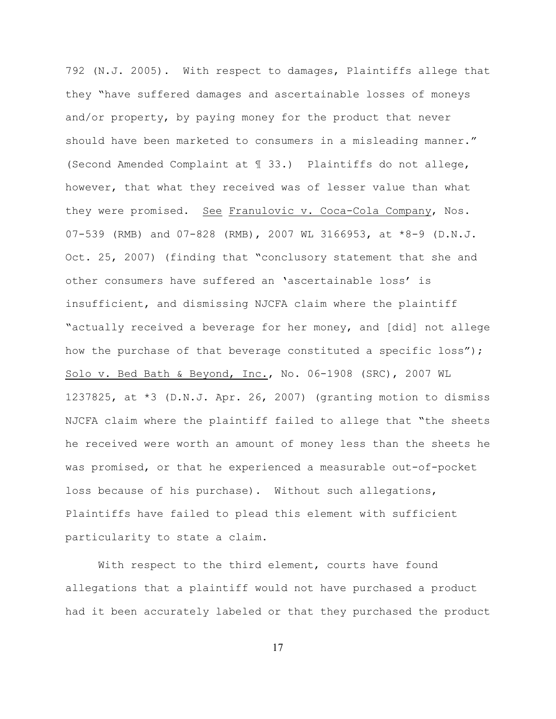792 (N.J. 2005). With respect to damages, Plaintiffs allege that they "have suffered damages and ascertainable losses of moneys and/or property, by paying money for the product that never should have been marketed to consumers in a misleading manner." (Second Amended Complaint at ¶ 33.) Plaintiffs do not allege, however, that what they received was of lesser value than what they were promised. See Franulovic v. Coca-Cola Company, Nos. 07-539 (RMB) and 07-828 (RMB), 2007 WL 3166953, at \*8-9 (D.N.J. Oct. 25, 2007) (finding that "conclusory statement that she and other consumers have suffered an 'ascertainable loss' is insufficient, and dismissing NJCFA claim where the plaintiff "actually received a beverage for her money, and [did] not allege how the purchase of that beverage constituted a specific loss"); Solo v. Bed Bath & Beyond, Inc., No. 06-1908 (SRC), 2007 WL 1237825, at \*3 (D.N.J. Apr. 26, 2007) (granting motion to dismiss NJCFA claim where the plaintiff failed to allege that "the sheets he received were worth an amount of money less than the sheets he was promised, or that he experienced a measurable out-of-pocket loss because of his purchase). Without such allegations, Plaintiffs have failed to plead this element with sufficient particularity to state a claim.

With respect to the third element, courts have found allegations that a plaintiff would not have purchased a product had it been accurately labeled or that they purchased the product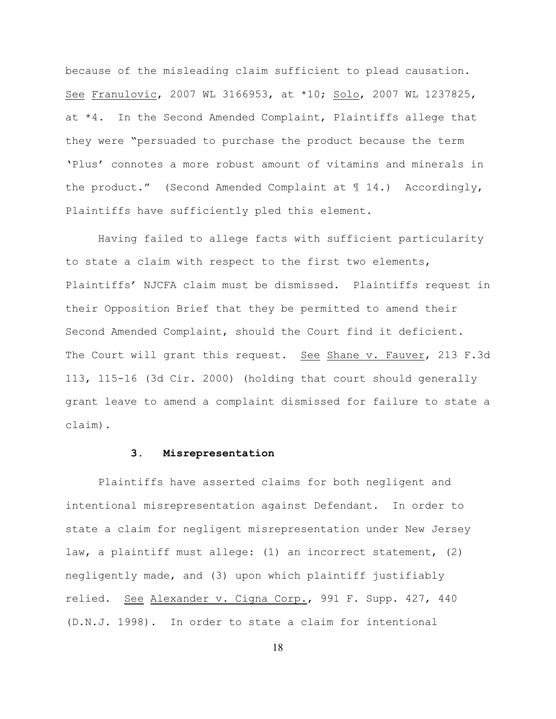because of the misleading claim sufficient to plead causation. See Franulovic, 2007 WL 3166953, at \*10; Solo, 2007 WL 1237825, at \*4. In the Second Amended Complaint, Plaintiffs allege that they were "persuaded to purchase the product because the term 'Plus' connotes a more robust amount of vitamins and minerals in the product." (Second Amended Complaint at ¶ 14.) Accordingly, Plaintiffs have sufficiently pled this element.

Having failed to allege facts with sufficient particularity to state a claim with respect to the first two elements, Plaintiffs' NJCFA claim must be dismissed. Plaintiffs request in their Opposition Brief that they be permitted to amend their Second Amended Complaint, should the Court find it deficient. The Court will grant this request. See Shane v. Fauver, 213 F.3d 113, 115-16 (3d Cir. 2000) (holding that court should generally grant leave to amend a complaint dismissed for failure to state a claim).

## **3. Misrepresentation**

Plaintiffs have asserted claims for both negligent and intentional misrepresentation against Defendant. In order to state a claim for negligent misrepresentation under New Jersey law, a plaintiff must allege: (1) an incorrect statement, (2) negligently made, and (3) upon which plaintiff justifiably relied. See Alexander v. Cigna Corp., 991 F. Supp. 427, 440 (D.N.J. 1998). In order to state a claim for intentional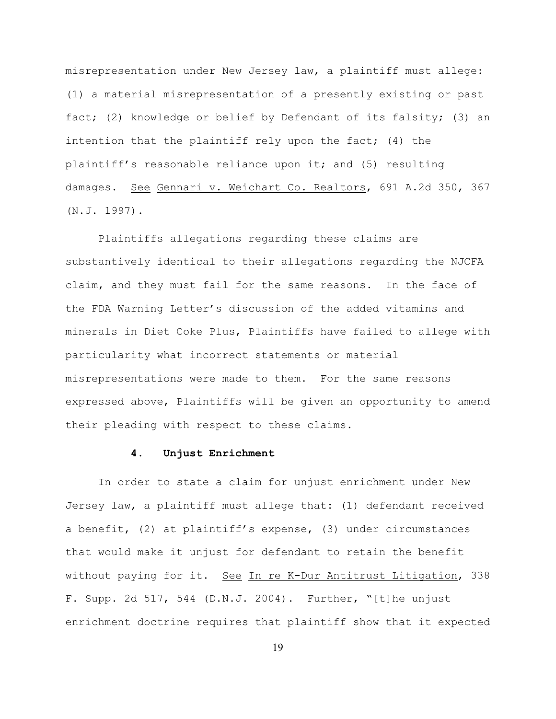misrepresentation under New Jersey law, a plaintiff must allege: (1) a material misrepresentation of a presently existing or past fact; (2) knowledge or belief by Defendant of its falsity; (3) an intention that the plaintiff rely upon the fact; (4) the plaintiff's reasonable reliance upon it; and (5) resulting damages. See Gennari v. Weichart Co. Realtors, 691 A.2d 350, 367 (N.J. 1997).

Plaintiffs allegations regarding these claims are substantively identical to their allegations regarding the NJCFA claim, and they must fail for the same reasons. In the face of the FDA Warning Letter's discussion of the added vitamins and minerals in Diet Coke Plus, Plaintiffs have failed to allege with particularity what incorrect statements or material misrepresentations were made to them. For the same reasons expressed above, Plaintiffs will be given an opportunity to amend their pleading with respect to these claims.

## **4. Unjust Enrichment**

In order to state a claim for unjust enrichment under New Jersey law, a plaintiff must allege that: (1) defendant received a benefit, (2) at plaintiff's expense, (3) under circumstances that would make it unjust for defendant to retain the benefit without paying for it. See In re K-Dur Antitrust Litigation, 338 F. Supp. 2d 517, 544 (D.N.J. 2004). Further, "[t]he unjust enrichment doctrine requires that plaintiff show that it expected